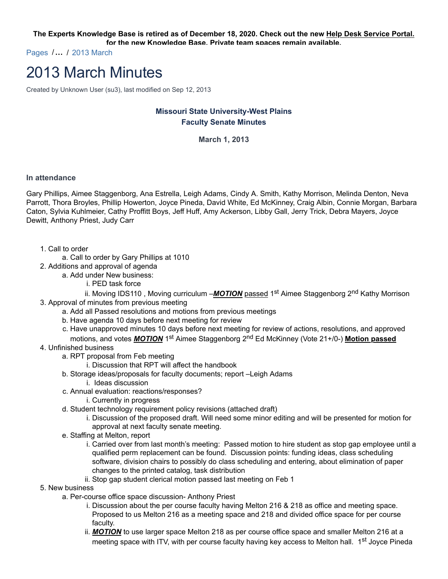**The Experts Knowledge Base is retired as of December 18, 2020. Check out the new Help Desk Service Portal. for the new Knowledge Base. Private team spaces remain available.**

Pages /**…** / 2013 March

## 2013 March Minutes

Created by Unknown User (su3), last modified on Sep 12, 2013

## **Missouri State University-West Plains Faculty Senate Minutes**

**March 1, 2013**

## **In attendance**

Gary Phillips, Aimee Staggenborg, Ana Estrella, Leigh Adams, Cindy A. Smith, Kathy Morrison, Melinda Denton, Neva Parrott, Thora Broyles, Phillip Howerton, Joyce Pineda, David White, Ed McKinney, Craig Albin, Connie Morgan, Barbara Caton, Sylvia Kuhlmeier, Cathy Proffitt Boys, Jeff Huff, Amy Ackerson, Libby Gall, Jerry Trick, Debra Mayers, Joyce Dewitt, Anthony Priest, Judy Carr

- 1. Call to order
	- a. Call to order by Gary Phillips at 1010
- 2. Additions and approval of agenda
	- a. Add under New business:
		- i. PED task force

ii. Moving IDS110, Moving curriculum –MOTION passed 1<sup>st</sup> Aimee Staggenborg 2<sup>nd</sup> Kathy Morrison 3. Approval of minutes from previous meeting

- a. Add all Passed resolutions and motions from previous meetings
- b. Have agenda 10 days before next meeting for review
- c. Have unapproved minutes 10 days before next meeting for review of actions, resolutions, and approved motions, and votes *MOTION* 1st Aimee Staggenborg 2nd Ed McKinney (Vote 21+/0-) **Motion passed**
- 4. Unfinished business
	- a. RPT proposal from Feb meeting
		- i. Discussion that RPT will affect the handbook
	- b. Storage ideas/proposals for faculty documents; report –Leigh Adams
		- i. Ideas discussion
	- c. Annual evaluation: reactions/responses?
		- i. Currently in progress
	- d. Student technology requirement policy revisions (attached draft)
		- i. Discussion of the proposed draft. Will need some minor editing and will be presented for motion for approval at next faculty senate meeting.
	- e. Staffing at Melton, report
		- i. Carried over from last month's meeting: Passed motion to hire student as stop gap employee until a qualified perm replacement can be found. Discussion points: funding ideas, class scheduling software, division chairs to possibly do class scheduling and entering, about elimination of paper changes to the printed catalog, task distribution
		- ii. Stop gap student clerical motion passed last meeting on Feb 1
- 5. New business
	- a. Per-course office space discussion- Anthony Priest
		- i. Discussion about the per course faculty having Melton 216 & 218 as office and meeting space. Proposed to us Melton 216 as a meeting space and 218 and divided office space for per course faculty.
		- ii. *MOTION* to use larger space Melton 218 as per course office space and smaller Melton 216 at a meeting space with ITV, with per course faculty having key access to Melton hall. 1st Joyce Pineda